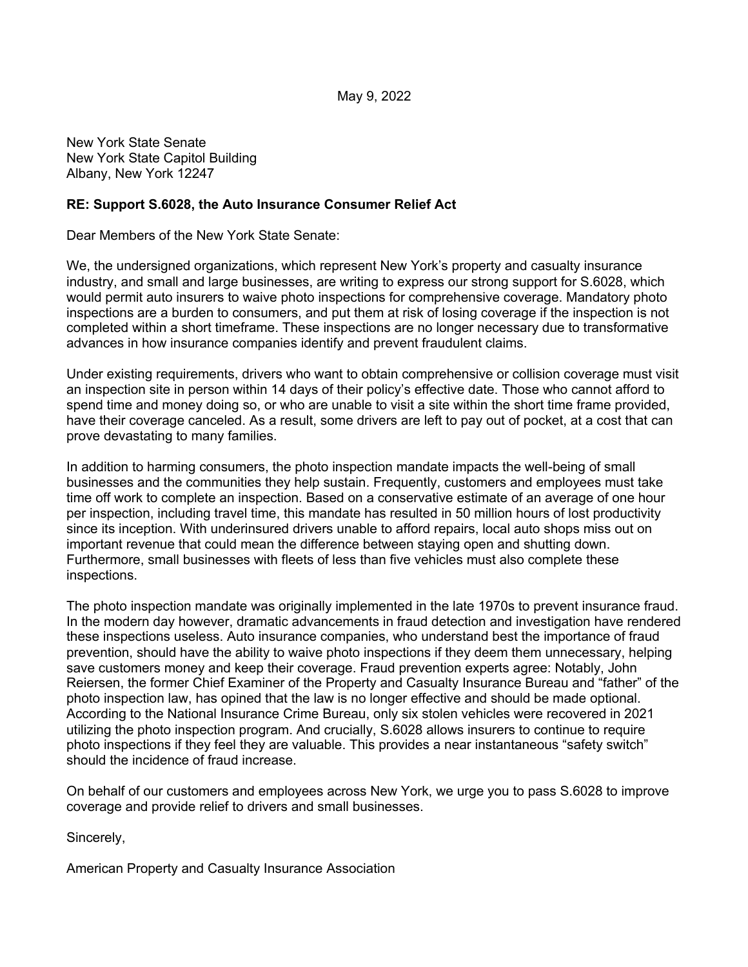May 9, 2022

New York State Senate New York State Capitol Building Albany, New York 12247

## **RE: Support S.6028, the Auto Insurance Consumer Relief Act**

Dear Members of the New York State Senate:

We, the undersigned organizations, which represent New York's property and casualty insurance industry, and small and large businesses, are writing to express our strong support for S.6028, which would permit auto insurers to waive photo inspections for comprehensive coverage. Mandatory photo inspections are a burden to consumers, and put them at risk of losing coverage if the inspection is not completed within a short timeframe. These inspections are no longer necessary due to transformative advances in how insurance companies identify and prevent fraudulent claims.

Under existing requirements, drivers who want to obtain comprehensive or collision coverage must visit an inspection site in person within 14 days of their policy's effective date. Those who cannot afford to spend time and money doing so, or who are unable to visit a site within the short time frame provided, have their coverage canceled. As a result, some drivers are left to pay out of pocket, at a cost that can prove devastating to many families.

In addition to harming consumers, the photo inspection mandate impacts the well-being of small businesses and the communities they help sustain. Frequently, customers and employees must take time off work to complete an inspection. Based on a conservative estimate of an average of one hour per inspection, including travel time, this mandate has resulted in 50 million hours of lost productivity since its inception. With underinsured drivers unable to afford repairs, local auto shops miss out on important revenue that could mean the difference between staying open and shutting down. Furthermore, small businesses with fleets of less than five vehicles must also complete these inspections.

The photo inspection mandate was originally implemented in the late 1970s to prevent insurance fraud. In the modern day however, dramatic advancements in fraud detection and investigation have rendered these inspections useless. Auto insurance companies, who understand best the importance of fraud prevention, should have the ability to waive photo inspections if they deem them unnecessary, helping save customers money and keep their coverage. Fraud prevention experts agree: Notably, John Reiersen, the former Chief Examiner of the Property and Casualty Insurance Bureau and "father" of the photo inspection law, has opined that the law is no longer effective and should be made optional. According to the National Insurance Crime Bureau, only six stolen vehicles were recovered in 2021 utilizing the photo inspection program. And crucially, S.6028 allows insurers to continue to require photo inspections if they feel they are valuable. This provides a near instantaneous "safety switch" should the incidence of fraud increase.

On behalf of our customers and employees across New York, we urge you to pass S.6028 to improve coverage and provide relief to drivers and small businesses.

Sincerely,

American Property and Casualty Insurance Association